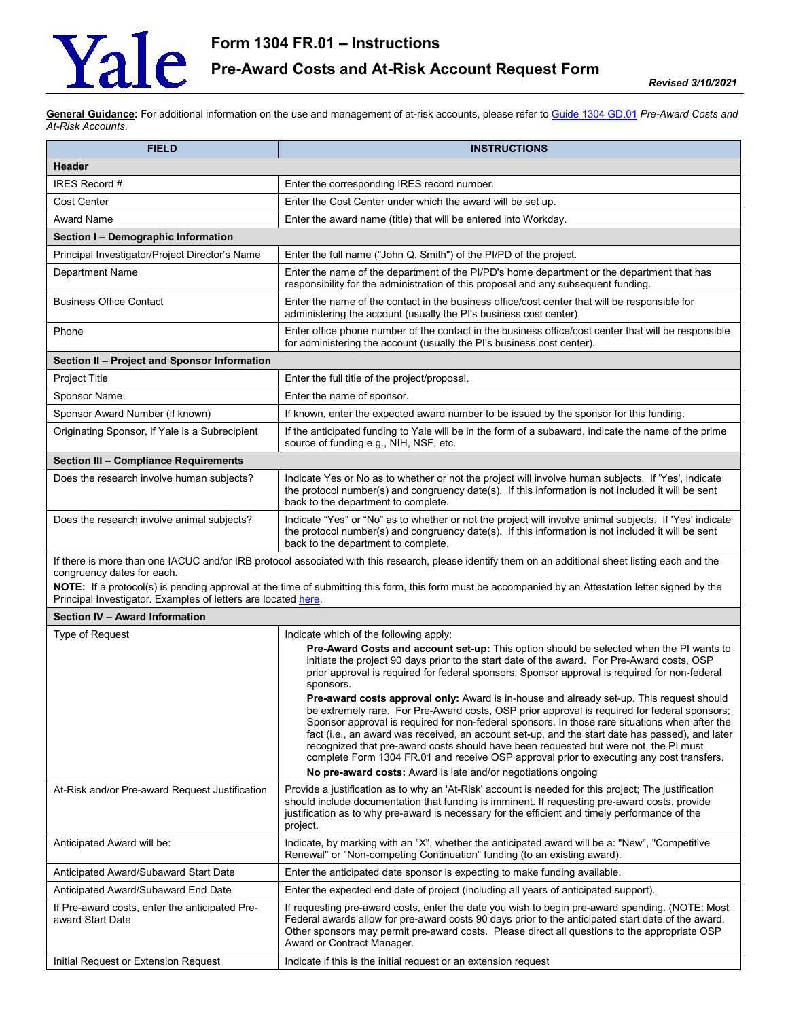## Yale

**General Guidance:** For additional information on the use and management of at-risk accounts, please refer t[o Guide 1304 GD.01](https://your.yale.edu/node/2996) *Pre-Award Costs and At-Risk Accounts*.

| <b>FIELD</b>                                                                                                                                                                                                                                                                                                                                                                                               | <b>INSTRUCTIONS</b>                                                                                                                                                                                                                                                                                                                                                                                                                                                                                                                                                                                                                                |
|------------------------------------------------------------------------------------------------------------------------------------------------------------------------------------------------------------------------------------------------------------------------------------------------------------------------------------------------------------------------------------------------------------|----------------------------------------------------------------------------------------------------------------------------------------------------------------------------------------------------------------------------------------------------------------------------------------------------------------------------------------------------------------------------------------------------------------------------------------------------------------------------------------------------------------------------------------------------------------------------------------------------------------------------------------------------|
| <b>Header</b>                                                                                                                                                                                                                                                                                                                                                                                              |                                                                                                                                                                                                                                                                                                                                                                                                                                                                                                                                                                                                                                                    |
| IRES Record #                                                                                                                                                                                                                                                                                                                                                                                              | Enter the corresponding IRES record number.                                                                                                                                                                                                                                                                                                                                                                                                                                                                                                                                                                                                        |
| Cost Center                                                                                                                                                                                                                                                                                                                                                                                                | Enter the Cost Center under which the award will be set up.                                                                                                                                                                                                                                                                                                                                                                                                                                                                                                                                                                                        |
| Award Name                                                                                                                                                                                                                                                                                                                                                                                                 | Enter the award name (title) that will be entered into Workday.                                                                                                                                                                                                                                                                                                                                                                                                                                                                                                                                                                                    |
| Section I - Demographic Information                                                                                                                                                                                                                                                                                                                                                                        |                                                                                                                                                                                                                                                                                                                                                                                                                                                                                                                                                                                                                                                    |
| Principal Investigator/Project Director's Name                                                                                                                                                                                                                                                                                                                                                             | Enter the full name ("John Q. Smith") of the PI/PD of the project.                                                                                                                                                                                                                                                                                                                                                                                                                                                                                                                                                                                 |
| <b>Department Name</b>                                                                                                                                                                                                                                                                                                                                                                                     | Enter the name of the department of the PI/PD's home department or the department that has<br>responsibility for the administration of this proposal and any subsequent funding.                                                                                                                                                                                                                                                                                                                                                                                                                                                                   |
| <b>Business Office Contact</b>                                                                                                                                                                                                                                                                                                                                                                             | Enter the name of the contact in the business office/cost center that will be responsible for<br>administering the account (usually the PI's business cost center).                                                                                                                                                                                                                                                                                                                                                                                                                                                                                |
| Phone                                                                                                                                                                                                                                                                                                                                                                                                      | Enter office phone number of the contact in the business office/cost center that will be responsible<br>for administering the account (usually the PI's business cost center).                                                                                                                                                                                                                                                                                                                                                                                                                                                                     |
| Section II - Project and Sponsor Information                                                                                                                                                                                                                                                                                                                                                               |                                                                                                                                                                                                                                                                                                                                                                                                                                                                                                                                                                                                                                                    |
| Project Title                                                                                                                                                                                                                                                                                                                                                                                              | Enter the full title of the project/proposal.                                                                                                                                                                                                                                                                                                                                                                                                                                                                                                                                                                                                      |
| Sponsor Name                                                                                                                                                                                                                                                                                                                                                                                               | Enter the name of sponsor.                                                                                                                                                                                                                                                                                                                                                                                                                                                                                                                                                                                                                         |
| Sponsor Award Number (if known)                                                                                                                                                                                                                                                                                                                                                                            | If known, enter the expected award number to be issued by the sponsor for this funding.                                                                                                                                                                                                                                                                                                                                                                                                                                                                                                                                                            |
| Originating Sponsor, if Yale is a Subrecipient                                                                                                                                                                                                                                                                                                                                                             | If the anticipated funding to Yale will be in the form of a subaward, indicate the name of the prime<br>source of funding e.g., NIH, NSF, etc.                                                                                                                                                                                                                                                                                                                                                                                                                                                                                                     |
| Section III - Compliance Requirements                                                                                                                                                                                                                                                                                                                                                                      |                                                                                                                                                                                                                                                                                                                                                                                                                                                                                                                                                                                                                                                    |
| Does the research involve human subjects?                                                                                                                                                                                                                                                                                                                                                                  | Indicate Yes or No as to whether or not the project will involve human subjects. If 'Yes', indicate<br>the protocol number(s) and congruency date(s). If this information is not included it will be sent<br>back to the department to complete.                                                                                                                                                                                                                                                                                                                                                                                                   |
| Does the research involve animal subjects?                                                                                                                                                                                                                                                                                                                                                                 | Indicate "Yes" or "No" as to whether or not the project will involve animal subjects. If 'Yes' indicate<br>the protocol number(s) and congruency date(s). If this information is not included it will be sent<br>back to the department to complete.                                                                                                                                                                                                                                                                                                                                                                                               |
| If there is more than one IACUC and/or IRB protocol associated with this research, please identify them on an additional sheet listing each and the<br>congruency dates for each.<br>NOTE: If a protocol(s) is pending approval at the time of submitting this form, this form must be accompanied by an Attestation letter signed by the<br>Principal Investigator. Examples of letters are located here. |                                                                                                                                                                                                                                                                                                                                                                                                                                                                                                                                                                                                                                                    |
| Section IV - Award Information                                                                                                                                                                                                                                                                                                                                                                             |                                                                                                                                                                                                                                                                                                                                                                                                                                                                                                                                                                                                                                                    |
| Type of Request                                                                                                                                                                                                                                                                                                                                                                                            | Indicate which of the following apply:                                                                                                                                                                                                                                                                                                                                                                                                                                                                                                                                                                                                             |
|                                                                                                                                                                                                                                                                                                                                                                                                            | Pre-Award Costs and account set-up: This option should be selected when the PI wants to<br>initiate the project 90 days prior to the start date of the award. For Pre-Award costs, OSP<br>prior approval is required for federal sponsors; Sponsor approval is required for non-federal<br>sponsors.                                                                                                                                                                                                                                                                                                                                               |
|                                                                                                                                                                                                                                                                                                                                                                                                            | Pre-award costs approval only: Award is in-house and already set-up. This request should<br>be extremely rare. For Pre-Award costs, OSP prior approval is required for federal sponsors;<br>Sponsor approval is required for non-federal sponsors. In those rare situations when after the<br>fact (i.e., an award was received, an account set-up, and the start date has passed), and later<br>recognized that pre-award costs should have been requested but were not, the PI must<br>complete Form 1304 FR.01 and receive OSP approval prior to executing any cost transfers.<br>No pre-award costs: Award is late and/or negotiations ongoing |
| At-Risk and/or Pre-award Request Justification                                                                                                                                                                                                                                                                                                                                                             | Provide a justification as to why an 'At-Risk' account is needed for this project; The justification                                                                                                                                                                                                                                                                                                                                                                                                                                                                                                                                               |
|                                                                                                                                                                                                                                                                                                                                                                                                            | should include documentation that funding is imminent. If requesting pre-award costs, provide<br>justification as to why pre-award is necessary for the efficient and timely performance of the<br>project.                                                                                                                                                                                                                                                                                                                                                                                                                                        |
| Anticipated Award will be:                                                                                                                                                                                                                                                                                                                                                                                 | Indicate, by marking with an "X", whether the anticipated award will be a: "New", "Competitive<br>Renewal" or "Non-competing Continuation" funding (to an existing award).                                                                                                                                                                                                                                                                                                                                                                                                                                                                         |
| Anticipated Award/Subaward Start Date                                                                                                                                                                                                                                                                                                                                                                      | Enter the anticipated date sponsor is expecting to make funding available.                                                                                                                                                                                                                                                                                                                                                                                                                                                                                                                                                                         |
| Anticipated Award/Subaward End Date                                                                                                                                                                                                                                                                                                                                                                        | Enter the expected end date of project (including all years of anticipated support).                                                                                                                                                                                                                                                                                                                                                                                                                                                                                                                                                               |
| If Pre-award costs, enter the anticipated Pre-<br>award Start Date                                                                                                                                                                                                                                                                                                                                         | If requesting pre-award costs, enter the date you wish to begin pre-award spending. (NOTE: Most<br>Federal awards allow for pre-award costs 90 days prior to the anticipated start date of the award.<br>Other sponsors may permit pre-award costs. Please direct all questions to the appropriate OSP<br>Award or Contract Manager.                                                                                                                                                                                                                                                                                                               |
| Initial Request or Extension Request                                                                                                                                                                                                                                                                                                                                                                       | Indicate if this is the initial request or an extension request                                                                                                                                                                                                                                                                                                                                                                                                                                                                                                                                                                                    |